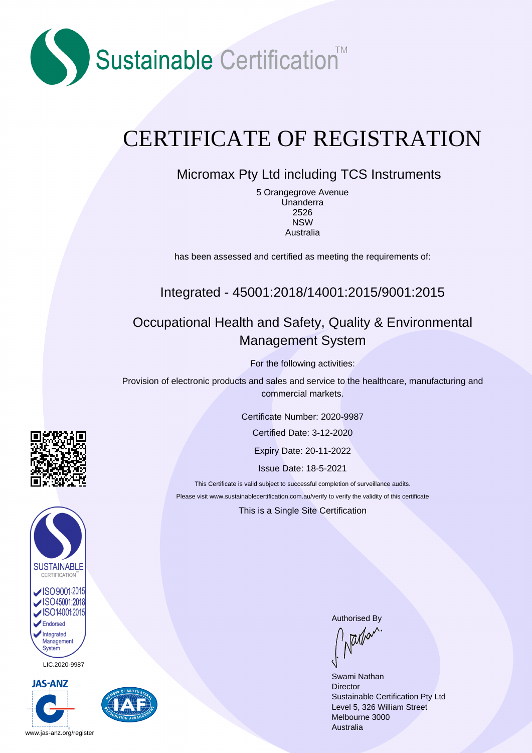

# CERTIFICATE OF REGISTRATION

## Micromax Pty Ltd including TCS Instruments

5 Orangegrove Avenue Unanderra 2526 NSW Australia

has been assessed and certified as meeting the requirements of:

## Integrated - 45001:2018/14001:2015/9001:2015

## Occupational Health and Safety, Quality & Environmental Management System

For the following activities:

Provision of electronic products and sales and service to the healthcare, manufacturing and commercial markets.

Certificate Number: 2020-9987

Certified Date: 3-12-2020

Expiry Date: 20-11-2022

Issue Date: 18-5-2021

This Certificate is valid subject to successful completion of surveillance audits. Please visit www.sustainablecertification.com.au/verify to verify the validity of this certificate

This is a Single Site Certification



LIC.2020-9987





Authorised By<br>  $\int_{\Lambda} \frac{1}{|\mathcal{U}|} d\mathcal{U}^{\Lambda}$ 

Swami Nathan **Director** Sustainable Certification Pty Ltd Level 5, 326 William Street Melbourne 3000 Australia